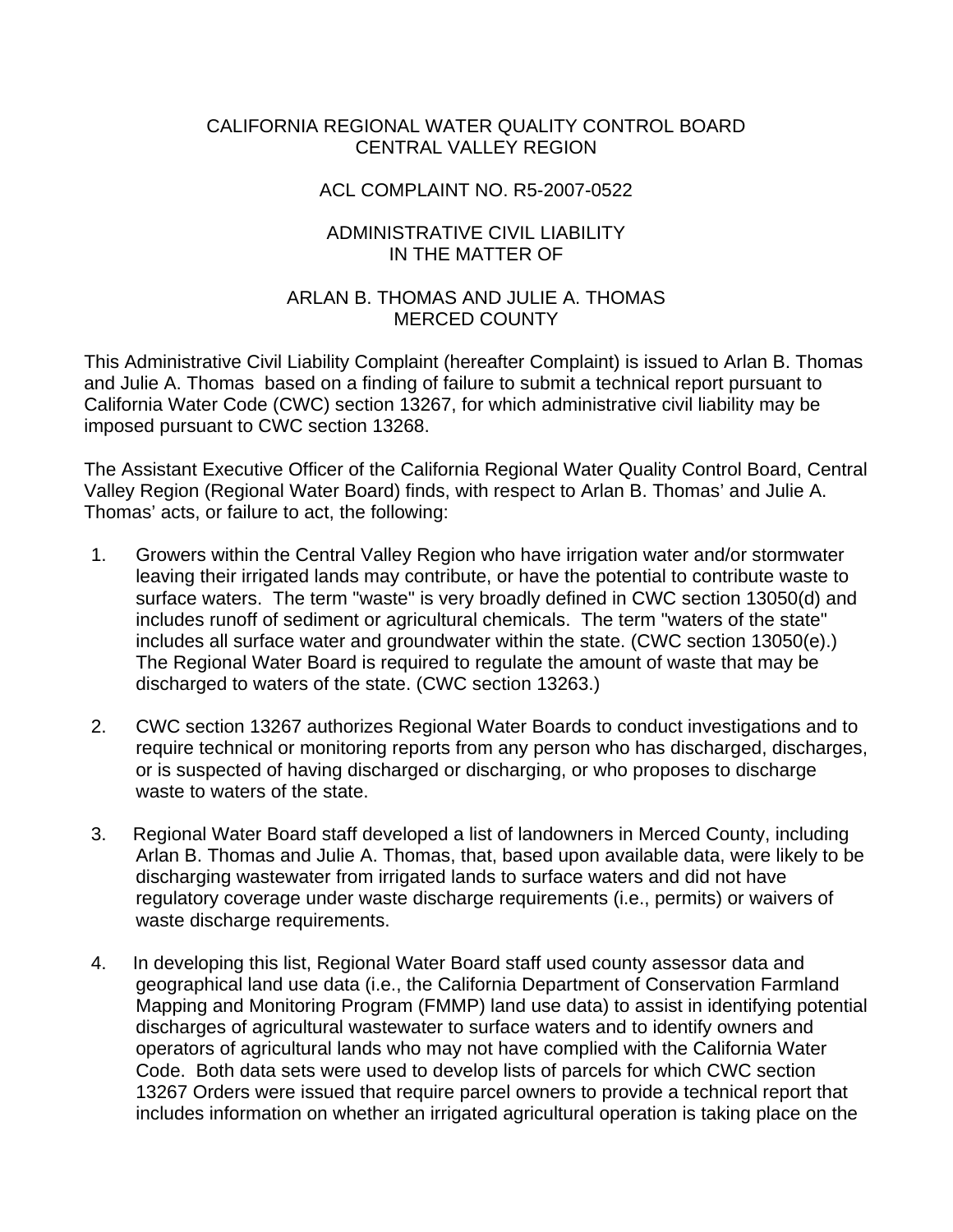## CALIFORNIA REGIONAL WATER QUALITY CONTROL BOARD CENTRAL VALLEY REGION

### ACL COMPLAINT NO. R5-2007-0522

## ADMINISTRATIVE CIVIL LIABILITY IN THE MATTER OF

## ARLAN B. THOMAS AND JULIE A. THOMAS MERCED COUNTY

This Administrative Civil Liability Complaint (hereafter Complaint) is issued to Arlan B. Thomas and Julie A. Thomas based on a finding of failure to submit a technical report pursuant to California Water Code (CWC) section 13267, for which administrative civil liability may be imposed pursuant to CWC section 13268.

The Assistant Executive Officer of the California Regional Water Quality Control Board, Central Valley Region (Regional Water Board) finds, with respect to Arlan B. Thomas' and Julie A. Thomas' acts, or failure to act, the following:

- 1. Growers within the Central Valley Region who have irrigation water and/or stormwater leaving their irrigated lands may contribute, or have the potential to contribute waste to surface waters. The term "waste" is very broadly defined in CWC section 13050(d) and includes runoff of sediment or agricultural chemicals. The term "waters of the state" includes all surface water and groundwater within the state. (CWC section 13050(e).) The Regional Water Board is required to regulate the amount of waste that may be discharged to waters of the state. (CWC section 13263.)
- 2. CWC section 13267 authorizes Regional Water Boards to conduct investigations and to require technical or monitoring reports from any person who has discharged, discharges, or is suspected of having discharged or discharging, or who proposes to discharge waste to waters of the state.
- 3. Regional Water Board staff developed a list of landowners in Merced County, including Arlan B. Thomas and Julie A. Thomas, that, based upon available data, were likely to be discharging wastewater from irrigated lands to surface waters and did not have regulatory coverage under waste discharge requirements (i.e., permits) or waivers of waste discharge requirements.
- 4. In developing this list, Regional Water Board staff used county assessor data and geographical land use data (i.e., the California Department of Conservation Farmland Mapping and Monitoring Program (FMMP) land use data) to assist in identifying potential discharges of agricultural wastewater to surface waters and to identify owners and operators of agricultural lands who may not have complied with the California Water Code. Both data sets were used to develop lists of parcels for which CWC section 13267 Orders were issued that require parcel owners to provide a technical report that includes information on whether an irrigated agricultural operation is taking place on the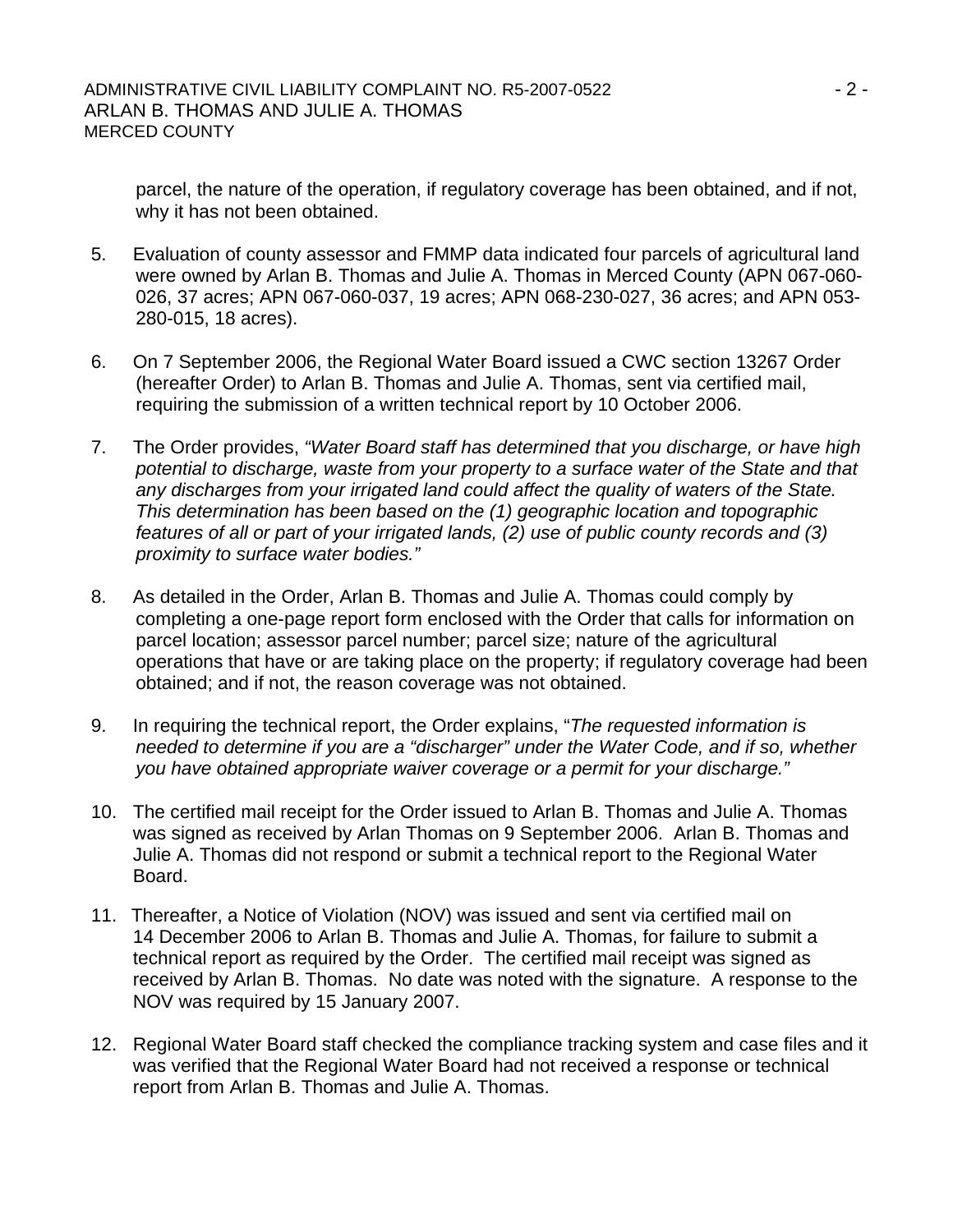parcel, the nature of the operation, if regulatory coverage has been obtained, and if not, why it has not been obtained.

- 5. Evaluation of county assessor and FMMP data indicated four parcels of agricultural land were owned by Arlan B. Thomas and Julie A. Thomas in Merced County (APN 067-060- 026, 37 acres; APN 067-060-037, 19 acres; APN 068-230-027, 36 acres; and APN 053- 280-015, 18 acres).
- 6. On 7 September 2006, the Regional Water Board issued a CWC section 13267 Order (hereafter Order) to Arlan B. Thomas and Julie A. Thomas, sent via certified mail, requiring the submission of a written technical report by 10 October 2006.
- 7. The Order provides, *"Water Board staff has determined that you discharge, or have high potential to discharge, waste from your property to a surface water of the State and that any discharges from your irrigated land could affect the quality of waters of the State. This determination has been based on the (1) geographic location and topographic features of all or part of your irrigated lands, (2) use of public county records and (3) proximity to surface water bodies."*
- 8. As detailed in the Order, Arlan B. Thomas and Julie A. Thomas could comply by completing a one-page report form enclosed with the Order that calls for information on parcel location; assessor parcel number; parcel size; nature of the agricultural operations that have or are taking place on the property; if regulatory coverage had been obtained; and if not, the reason coverage was not obtained.
- 9. In requiring the technical report, the Order explains, "*The requested information is needed to determine if you are a "discharger" under the Water Code, and if so, whether you have obtained appropriate waiver coverage or a permit for your discharge."*
- 10. The certified mail receipt for the Order issued to Arlan B. Thomas and Julie A. Thomas was signed as received by Arlan Thomas on 9 September 2006. Arlan B. Thomas and Julie A. Thomas did not respond or submit a technical report to the Regional Water Board.
- 11. Thereafter, a Notice of Violation (NOV) was issued and sent via certified mail on 14 December 2006 to Arlan B. Thomas and Julie A. Thomas, for failure to submit a technical report as required by the Order. The certified mail receipt was signed as received by Arlan B. Thomas. No date was noted with the signature. A response to the NOV was required by 15 January 2007.
- 12. Regional Water Board staff checked the compliance tracking system and case files and it was verified that the Regional Water Board had not received a response or technical report from Arlan B. Thomas and Julie A. Thomas.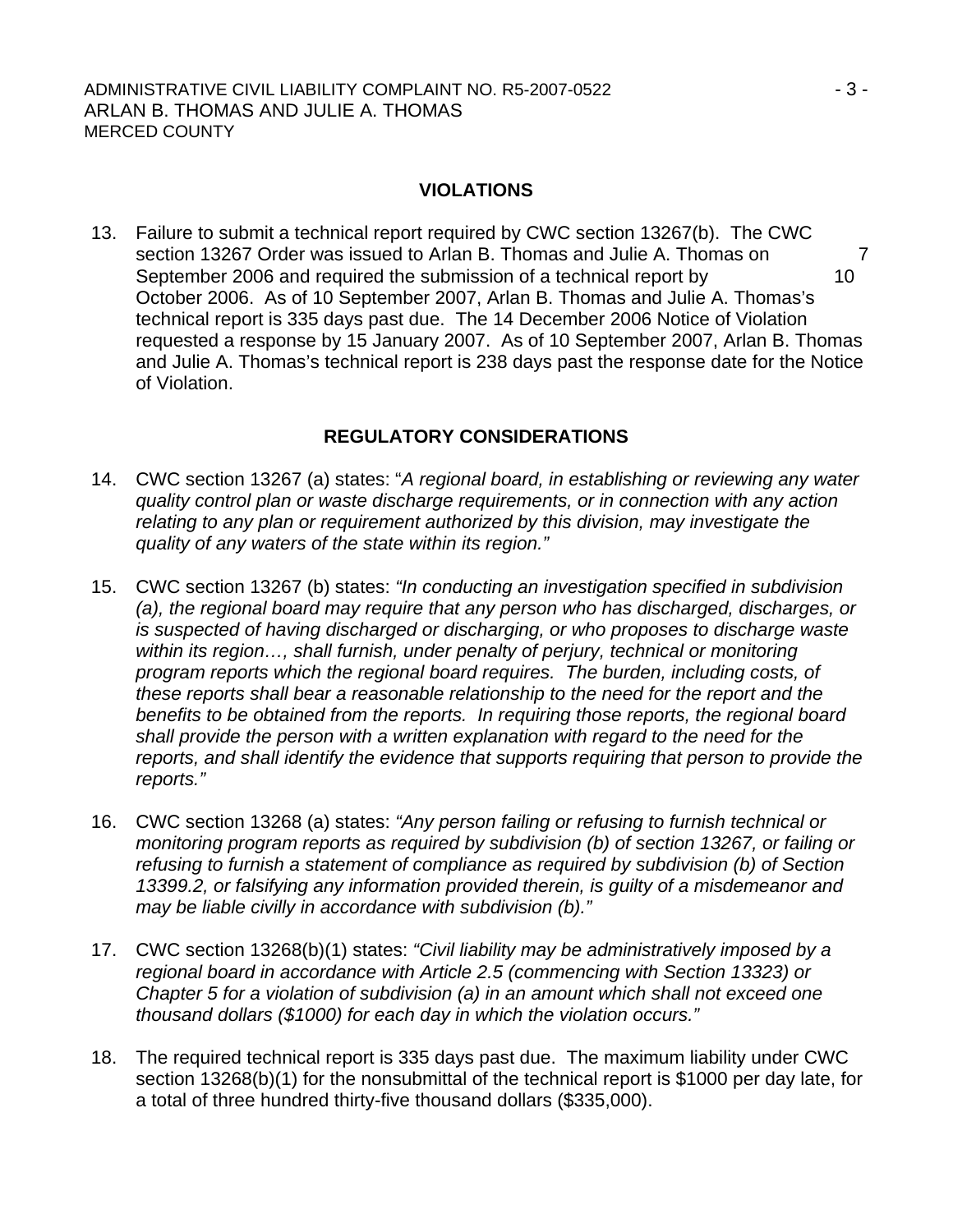#### **VIOLATIONS**

13. Failure to submit a technical report required by CWC section 13267(b). The CWC section 13267 Order was issued to Arlan B. Thomas and Julie A. Thomas on 7 September 2006 and required the submission of a technical report by 10 October 2006. As of 10 September 2007, Arlan B. Thomas and Julie A. Thomas's technical report is 335 days past due. The 14 December 2006 Notice of Violation requested a response by 15 January 2007. As of 10 September 2007, Arlan B. Thomas and Julie A. Thomas's technical report is 238 days past the response date for the Notice of Violation.

## **REGULATORY CONSIDERATIONS**

- 14. CWC section 13267 (a) states: "*A regional board, in establishing or reviewing any water quality control plan or waste discharge requirements, or in connection with any action relating to any plan or requirement authorized by this division, may investigate the quality of any waters of the state within its region."*
- 15. CWC section 13267 (b) states: *"In conducting an investigation specified in subdivision (a), the regional board may require that any person who has discharged, discharges, or is suspected of having discharged or discharging, or who proposes to discharge waste within its region…, shall furnish, under penalty of perjury, technical or monitoring program reports which the regional board requires. The burden, including costs, of these reports shall bear a reasonable relationship to the need for the report and the benefits to be obtained from the reports. In requiring those reports, the regional board shall provide the person with a written explanation with regard to the need for the reports, and shall identify the evidence that supports requiring that person to provide the reports."*
- 16. CWC section 13268 (a) states: *"Any person failing or refusing to furnish technical or monitoring program reports as required by subdivision (b) of section 13267, or failing or refusing to furnish a statement of compliance as required by subdivision (b) of Section 13399.2, or falsifying any information provided therein, is guilty of a misdemeanor and may be liable civilly in accordance with subdivision (b)."*
- 17. CWC section 13268(b)(1) states: *"Civil liability may be administratively imposed by a regional board in accordance with Article 2.5 (commencing with Section 13323) or Chapter 5 for a violation of subdivision (a) in an amount which shall not exceed one thousand dollars (\$1000) for each day in which the violation occurs."*
- 18. The required technical report is 335 days past due. The maximum liability under CWC section 13268(b)(1) for the nonsubmittal of the technical report is \$1000 per day late, for a total of three hundred thirty-five thousand dollars (\$335,000).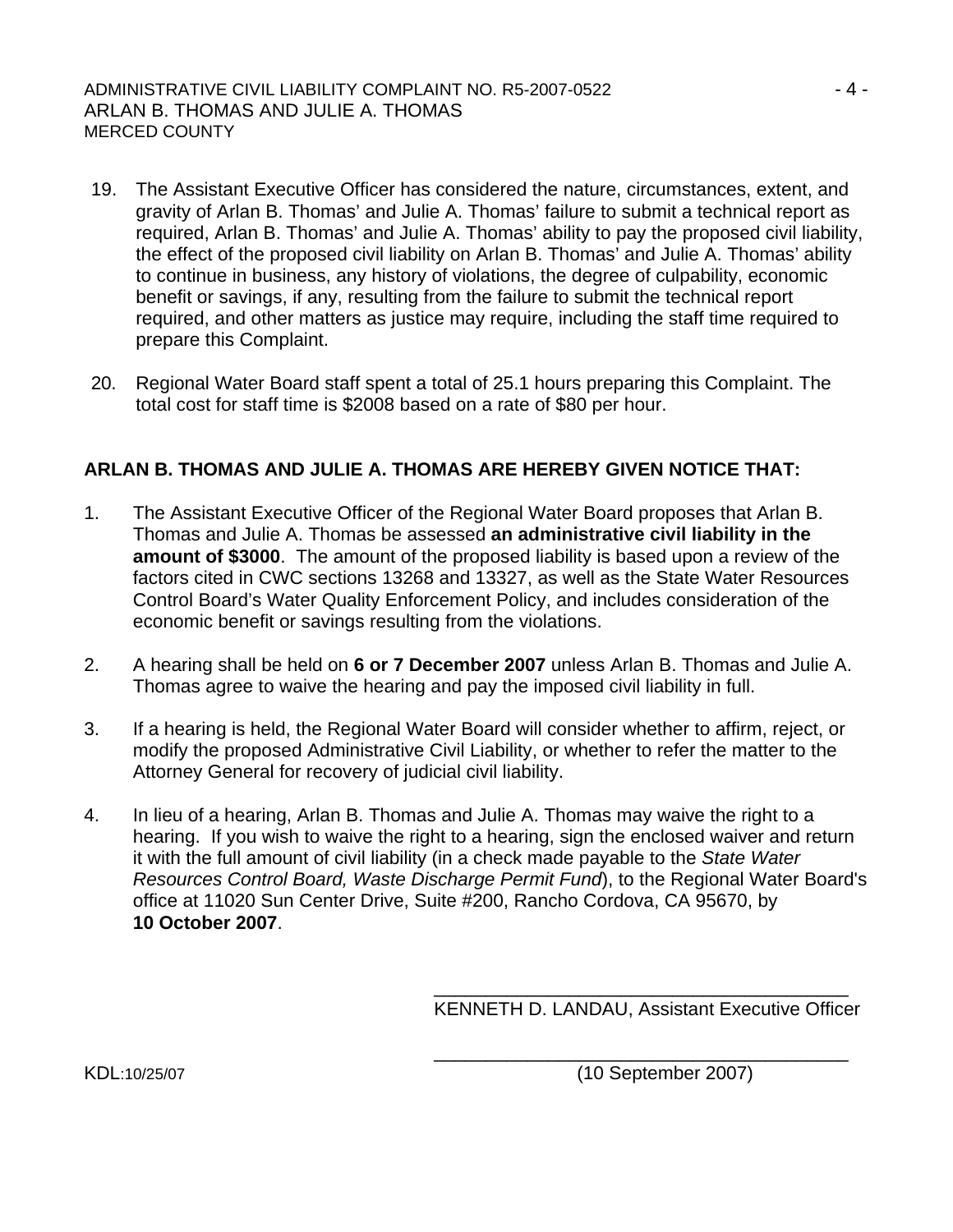- 19. The Assistant Executive Officer has considered the nature, circumstances, extent, and gravity of Arlan B. Thomas' and Julie A. Thomas' failure to submit a technical report as required, Arlan B. Thomas' and Julie A. Thomas' ability to pay the proposed civil liability, the effect of the proposed civil liability on Arlan B. Thomas' and Julie A. Thomas' ability to continue in business, any history of violations, the degree of culpability, economic benefit or savings, if any, resulting from the failure to submit the technical report required, and other matters as justice may require, including the staff time required to prepare this Complaint.
- 20. Regional Water Board staff spent a total of 25.1 hours preparing this Complaint. The total cost for staff time is \$2008 based on a rate of \$80 per hour.

## **ARLAN B. THOMAS AND JULIE A. THOMAS ARE HEREBY GIVEN NOTICE THAT:**

- 1. The Assistant Executive Officer of the Regional Water Board proposes that Arlan B. Thomas and Julie A. Thomas be assessed **an administrative civil liability in the amount of \$3000**. The amount of the proposed liability is based upon a review of the factors cited in CWC sections 13268 and 13327, as well as the State Water Resources Control Board's Water Quality Enforcement Policy, and includes consideration of the economic benefit or savings resulting from the violations.
- 2. A hearing shall be held on **6 or 7 December 2007** unless Arlan B. Thomas and Julie A. Thomas agree to waive the hearing and pay the imposed civil liability in full.
- 3. If a hearing is held, the Regional Water Board will consider whether to affirm, reject, or modify the proposed Administrative Civil Liability, or whether to refer the matter to the Attorney General for recovery of judicial civil liability.
- 4. In lieu of a hearing, Arlan B. Thomas and Julie A. Thomas may waive the right to a hearing. If you wish to waive the right to a hearing, sign the enclosed waiver and return it with the full amount of civil liability (in a check made payable to the *State Water Resources Control Board, Waste Discharge Permit Fund*), to the Regional Water Board's office at 11020 Sun Center Drive, Suite #200, Rancho Cordova, CA 95670, by **10 October 2007**.

 $\overline{\phantom{a}}$  , and the contract of the contract of the contract of the contract of the contract of the contract of the contract of the contract of the contract of the contract of the contract of the contract of the contrac

 $\overline{\phantom{a}}$  , and the contract of the contract of the contract of the contract of the contract of the contract of the contract of the contract of the contract of the contract of the contract of the contract of the contrac

KENNETH D. LANDAU, Assistant Executive Officer

KDL:10/25/07 (10 September 2007)